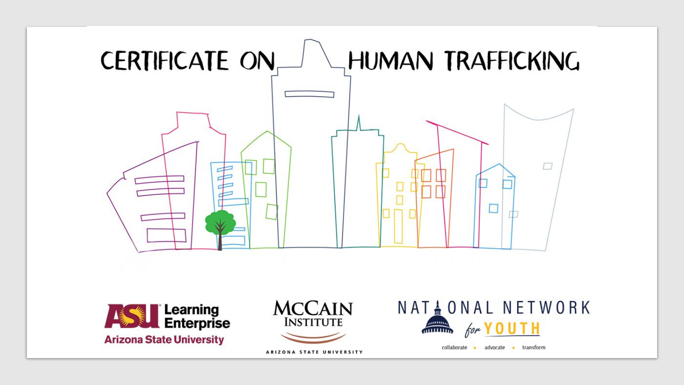





ARIZONA STATE UNIVERSITY

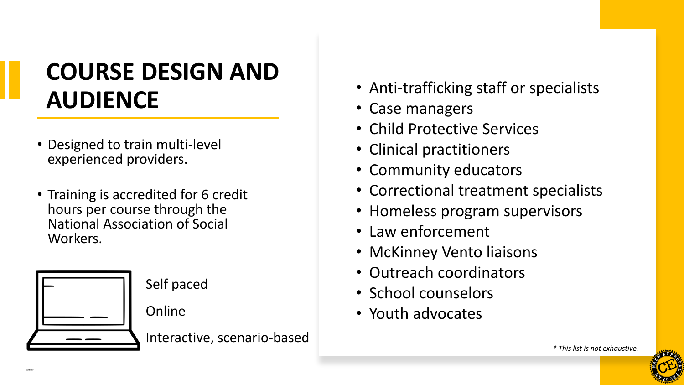## **COURSE DESIGN AND AUDIENCE**

- Designed to train multi-level experienced providers.
- Training is accredited for 6 credit hours per course through the National Association of Social Workers.



Self paced

Online

Interactive, scenario-based

- Anti-trafficking staff or specialists
- Case managers
- Child Protective Services
- Clinical practitioners
- Community educators
- Correctional treatment specialists
- Homeless program supervisors
- Law enforcement
- McKinney Vento liaisons
- Outreach coordinators
- School counselors
- Youth advocates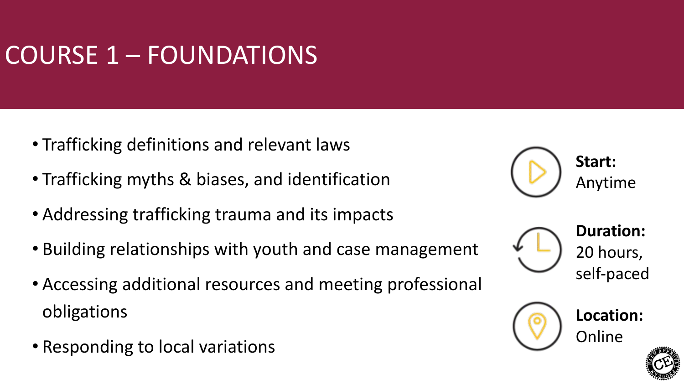# COURSE 1 – FOUNDATIONS

- Trafficking definitions and relevant laws
- Trafficking myths & biases, and identification
- Addressing trafficking trauma and its impacts
- Building relationships with youth and case management
- Accessing additional resources and meeting professional obligations
- Responding to local variations







**Location:** Online

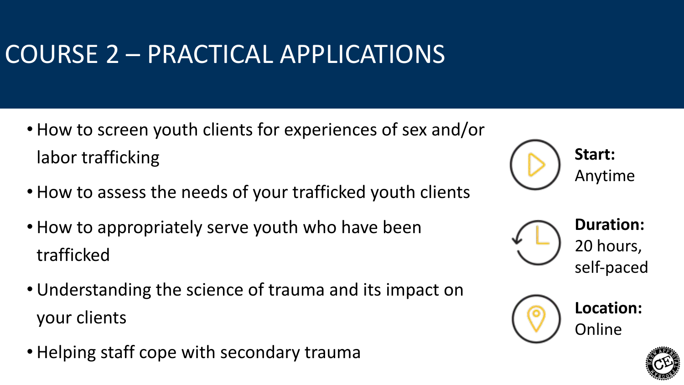# COURSE 2 – PRACTICAL APPLICATIONS

- How to screen youth clients for experiences of sex and/or labor trafficking
- How to assess the needs of your trafficked youth clients
- How to appropriately serve youth who have been trafficked
- Understanding the science of trauma and its impact on your clients
- Helping staff cope with secondary trauma

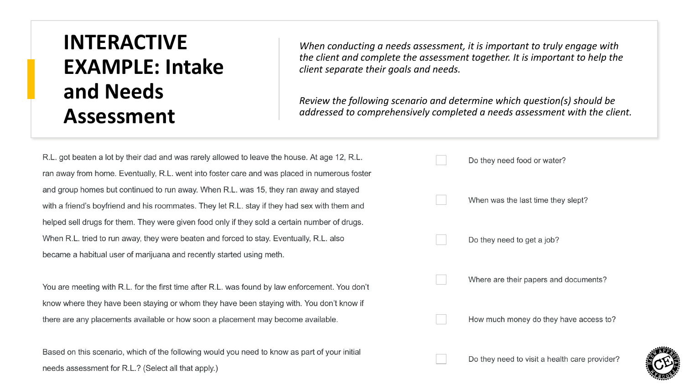#### **INTERACTIVE EXAMPLE: Intake and Needs Assessment**

*When conducting a needs assessment, it is important to truly engage with the client and complete the assessment together. It is important to help the client separate their goals and needs.* 

*Review the following scenario and determine which question(s) should be addressed to comprehensively completed a needs assessment with the client.* 

R.L. got beaten a lot by their dad and was rarely allowed to leave the house. At age 12, R.L. ran away from home. Eventually, R.L. went into foster care and was placed in numerous foster and group homes but continued to run away. When R.L. was 15, they ran away and stayed with a friend's boyfriend and his roommates. They let R.L. stay if they had sex with them and helped sell drugs for them. They were given food only if they sold a certain number of drugs. When R.L. tried to run away, they were beaten and forced to stay. Eventually, R.L. also became a habitual user of marijuana and recently started using meth.

You are meeting with R.L. for the first time after R.L. was found by law enforcement. You don't know where they have been staying or whom they have been staying with. You don't know if there are any placements available or how soon a placement may become available.

Based on this scenario, which of the following would you need to know as part of your initial needs assessment for R.L.? (Select all that apply.)



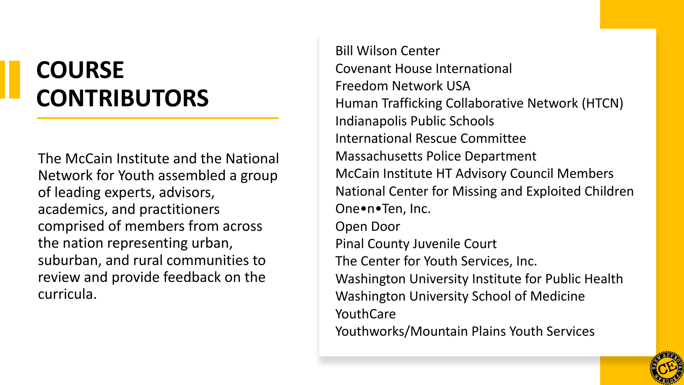## **COURSE CONTRIBUTORS**

The McCain Institute and the National Network for Youth assembled a group of leading experts, advisors, academics, and practitioners comprised of members from across the nation representing urban, suburban, and rural communities to review and provide feedback on the curricula.

Bill Wilson Center Covenant House International Freedom Network USA Human Trafficking Collaborative Network (HTCN) Indianapolis Public Schools International Rescue Committee Massachusetts Police Department McCain Institute HT Advisory Council Members National Center for Missing and Exploited Children One•n•Ten, Inc. Open Door Pinal County Juvenile Court The Center for Youth Services, Inc. Washington University Institute for Public Health Washington University School of Medicine YouthCare Youthworks/Mountain Plains Youth Services